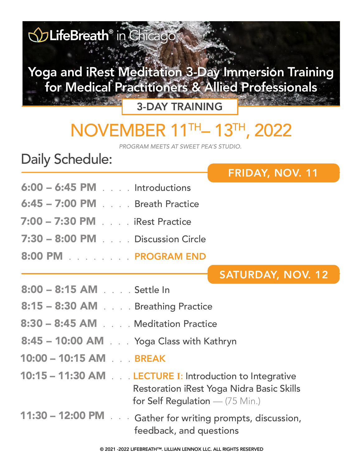

- Restoration iRest Yoga Nidra Basic Skills for Self Regulation — (75 Min.)
- 11:30 12:00 PM . . . Gather for writing prompts, discussion, feedback, and questions